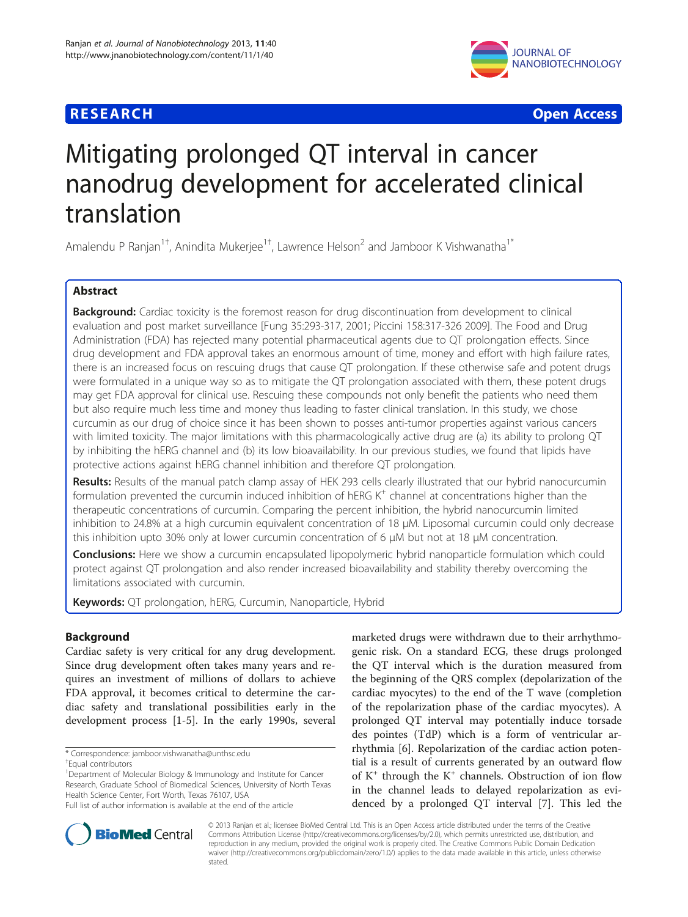

**RESEARCH CHEAR CHEAR CHEAR CHEAR CHEAR CHEAR CHEAR CHEAR CHEAR CHEAR CHEAR CHEAR CHEAR CHEAR CHEAR CHEAR CHEAR** 

# Mitigating prolonged QT interval in cancer nanodrug development for accelerated clinical translation

Amalendu P Ranjan<sup>1†</sup>, Anindita Mukerjee<sup>1†</sup>, Lawrence Helson<sup>2</sup> and Jamboor K Vishwanatha<sup>1\*</sup>

# Abstract

Background: Cardiac toxicity is the foremost reason for drug discontinuation from development to clinical evaluation and post market surveillance [Fung 35:293-317, 2001; Piccini 158:317-326 2009]. The Food and Drug Administration (FDA) has rejected many potential pharmaceutical agents due to QT prolongation effects. Since drug development and FDA approval takes an enormous amount of time, money and effort with high failure rates, there is an increased focus on rescuing drugs that cause QT prolongation. If these otherwise safe and potent drugs were formulated in a unique way so as to mitigate the QT prolongation associated with them, these potent drugs may get FDA approval for clinical use. Rescuing these compounds not only benefit the patients who need them but also require much less time and money thus leading to faster clinical translation. In this study, we chose curcumin as our drug of choice since it has been shown to posses anti-tumor properties against various cancers with limited toxicity. The major limitations with this pharmacologically active drug are (a) its ability to prolong QT by inhibiting the hERG channel and (b) its low bioavailability. In our previous studies, we found that lipids have protective actions against hERG channel inhibition and therefore QT prolongation.

Results: Results of the manual patch clamp assay of HEK 293 cells clearly illustrated that our hybrid nanocurcumin formulation prevented the curcumin induced inhibition of hERG  $K^+$  channel at concentrations higher than the therapeutic concentrations of curcumin. Comparing the percent inhibition, the hybrid nanocurcumin limited inhibition to 24.8% at a high curcumin equivalent concentration of 18 μM. Liposomal curcumin could only decrease this inhibition upto 30% only at lower curcumin concentration of 6 μM but not at 18 μM concentration.

**Conclusions:** Here we show a curcumin encapsulated lipopolymeric hybrid nanoparticle formulation which could protect against QT prolongation and also render increased bioavailability and stability thereby overcoming the limitations associated with curcumin.

Keywords: QT prolongation, hERG, Curcumin, Nanoparticle, Hybrid

# Background

Cardiac safety is very critical for any drug development. Since drug development often takes many years and requires an investment of millions of dollars to achieve FDA approval, it becomes critical to determine the cardiac safety and translational possibilities early in the development process [[1-5](#page-6-0)]. In the early 1990s, several

marketed drugs were withdrawn due to their arrhythmogenic risk. On a standard ECG, these drugs prolonged the QT interval which is the duration measured from the beginning of the QRS complex (depolarization of the cardiac myocytes) to the end of the T wave (completion of the repolarization phase of the cardiac myocytes). A prolonged QT interval may potentially induce torsade des pointes (TdP) which is a form of ventricular arrhythmia [\[6](#page-6-0)]. Repolarization of the cardiac action potential is a result of currents generated by an outward flow of  $K^+$  through the  $K^+$  channels. Obstruction of ion flow in the channel leads to delayed repolarization as evidenced by a prolonged QT interval [\[7](#page-7-0)]. This led the



© 2013 Ranjan et al.; licensee BioMed Central Ltd. This is an Open Access article distributed under the terms of the Creative Commons Attribution License [\(http://creativecommons.org/licenses/by/2.0\)](http://creativecommons.org/licenses/by/2.0), which permits unrestricted use, distribution, and reproduction in any medium, provided the original work is properly cited. The Creative Commons Public Domain Dedication waiver [\(http://creativecommons.org/publicdomain/zero/1.0/\)](http://creativecommons.org/publicdomain/zero/1.0/) applies to the data made available in this article, unless otherwise stated.

<sup>\*</sup> Correspondence: [jamboor.vishwanatha@unthsc.edu](mailto:jamboor.vishwanatha@unthsc.edu) †

Equal contributors

<sup>&</sup>lt;sup>1</sup>Department of Molecular Biology & Immunology and Institute for Cancer Research, Graduate School of Biomedical Sciences, University of North Texas Health Science Center, Fort Worth, Texas 76107, USA

Full list of author information is available at the end of the article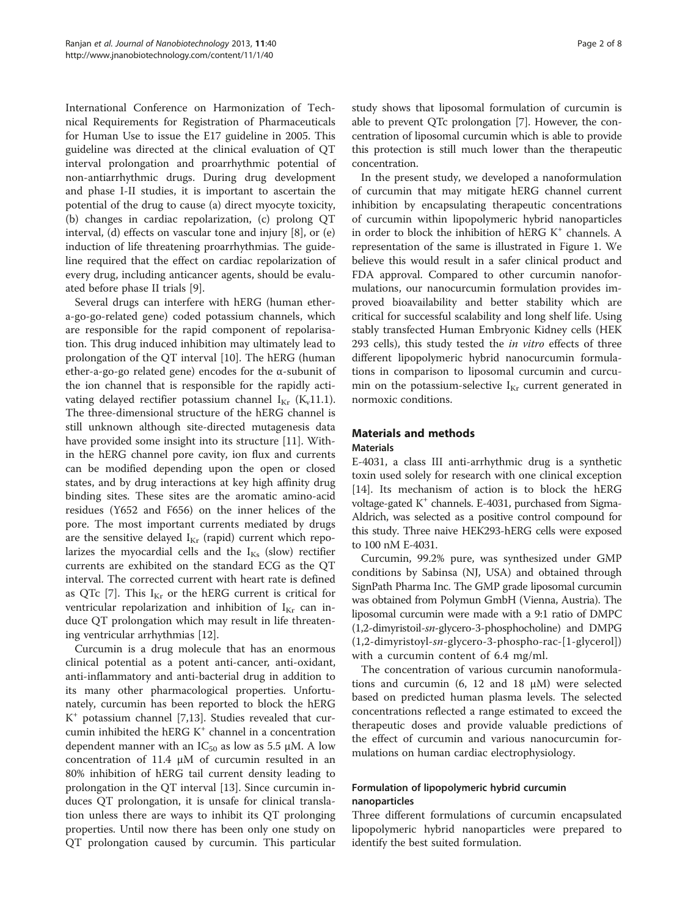International Conference on Harmonization of Technical Requirements for Registration of Pharmaceuticals for Human Use to issue the E17 guideline in 2005. This guideline was directed at the clinical evaluation of QT interval prolongation and proarrhythmic potential of non-antiarrhythmic drugs. During drug development and phase I-II studies, it is important to ascertain the potential of the drug to cause (a) direct myocyte toxicity, (b) changes in cardiac repolarization, (c) prolong QT interval, (d) effects on vascular tone and injury [[8\]](#page-7-0), or (e) induction of life threatening proarrhythmias. The guideline required that the effect on cardiac repolarization of every drug, including anticancer agents, should be evaluated before phase II trials [\[9](#page-7-0)].

Several drugs can interfere with hERG (human ethera-go-go-related gene) coded potassium channels, which are responsible for the rapid component of repolarisation. This drug induced inhibition may ultimately lead to prolongation of the QT interval [[10\]](#page-7-0). The hERG (human ether-a-go-go related gene) encodes for the α-subunit of the ion channel that is responsible for the rapidly activating delayed rectifier potassium channel  $I_{Kr}$  (K<sub>v</sub>11.1). The three-dimensional structure of the hERG channel is still unknown although site-directed mutagenesis data have provided some insight into its structure [[11\]](#page-7-0). Within the hERG channel pore cavity, ion flux and currents can be modified depending upon the open or closed states, and by drug interactions at key high affinity drug binding sites. These sites are the aromatic amino-acid residues (Y652 and F656) on the inner helices of the pore. The most important currents mediated by drugs are the sensitive delayed  $I_{Kr}$  (rapid) current which repolarizes the myocardial cells and the  $I_{Ks}$  (slow) rectifier currents are exhibited on the standard ECG as the QT interval. The corrected current with heart rate is defined as QTc [[7\]](#page-7-0). This  $I_{Kr}$  or the hERG current is critical for ventricular repolarization and inhibition of  $I_{Kr}$  can induce QT prolongation which may result in life threatening ventricular arrhythmias [[12](#page-7-0)].

Curcumin is a drug molecule that has an enormous clinical potential as a potent anti-cancer, anti-oxidant, anti-inflammatory and anti-bacterial drug in addition to its many other pharmacological properties. Unfortunately, curcumin has been reported to block the hERG  $K^+$  potassium channel [\[7,13](#page-7-0)]. Studies revealed that curcumin inhibited the hERG  $K^+$  channel in a concentration dependent manner with an  $IC_{50}$  as low as 5.5 µM. A low concentration of 11.4 μM of curcumin resulted in an 80% inhibition of hERG tail current density leading to prolongation in the QT interval [[13](#page-7-0)]. Since curcumin induces QT prolongation, it is unsafe for clinical translation unless there are ways to inhibit its QT prolonging properties. Until now there has been only one study on QT prolongation caused by curcumin. This particular

study shows that liposomal formulation of curcumin is able to prevent QTc prolongation [\[7](#page-7-0)]. However, the concentration of liposomal curcumin which is able to provide this protection is still much lower than the therapeutic concentration.

In the present study, we developed a nanoformulation of curcumin that may mitigate hERG channel current inhibition by encapsulating therapeutic concentrations of curcumin within lipopolymeric hybrid nanoparticles in order to block the inhibition of hERG  $K^+$  channels. A representation of the same is illustrated in Figure [1.](#page-2-0) We believe this would result in a safer clinical product and FDA approval. Compared to other curcumin nanoformulations, our nanocurcumin formulation provides improved bioavailability and better stability which are critical for successful scalability and long shelf life. Using stably transfected Human Embryonic Kidney cells (HEK 293 cells), this study tested the *in vitro* effects of three different lipopolymeric hybrid nanocurcumin formulations in comparison to liposomal curcumin and curcumin on the potassium-selective  $I_{Kr}$  current generated in normoxic conditions.

# Materials and methods

# Materials

E-4031, a class III anti-arrhythmic drug is a synthetic toxin used solely for research with one clinical exception [[14\]](#page-7-0). Its mechanism of action is to block the hERG voltage-gated  $K^+$  channels. E-4031, purchased from Sigma-Aldrich, was selected as a positive control compound for this study. Three naive HEK293-hERG cells were exposed to 100 nM E-4031.

Curcumin, 99.2% pure, was synthesized under GMP conditions by Sabinsa (NJ, USA) and obtained through SignPath Pharma Inc. The GMP grade liposomal curcumin was obtained from Polymun GmbH (Vienna, Austria). The liposomal curcumin were made with a 9:1 ratio of DMPC (1,2-dimyristoil-sn-glycero-3-phosphocholine) and DMPG (1,2-dimyristoyl-sn-glycero-3-phospho-rac-[1-glycerol]) with a curcumin content of 6.4 mg/ml.

The concentration of various curcumin nanoformulations and curcumin (6, 12 and 18  $\mu$ M) were selected based on predicted human plasma levels. The selected concentrations reflected a range estimated to exceed the therapeutic doses and provide valuable predictions of the effect of curcumin and various nanocurcumin formulations on human cardiac electrophysiology.

# Formulation of lipopolymeric hybrid curcumin nanoparticles

Three different formulations of curcumin encapsulated lipopolymeric hybrid nanoparticles were prepared to identify the best suited formulation.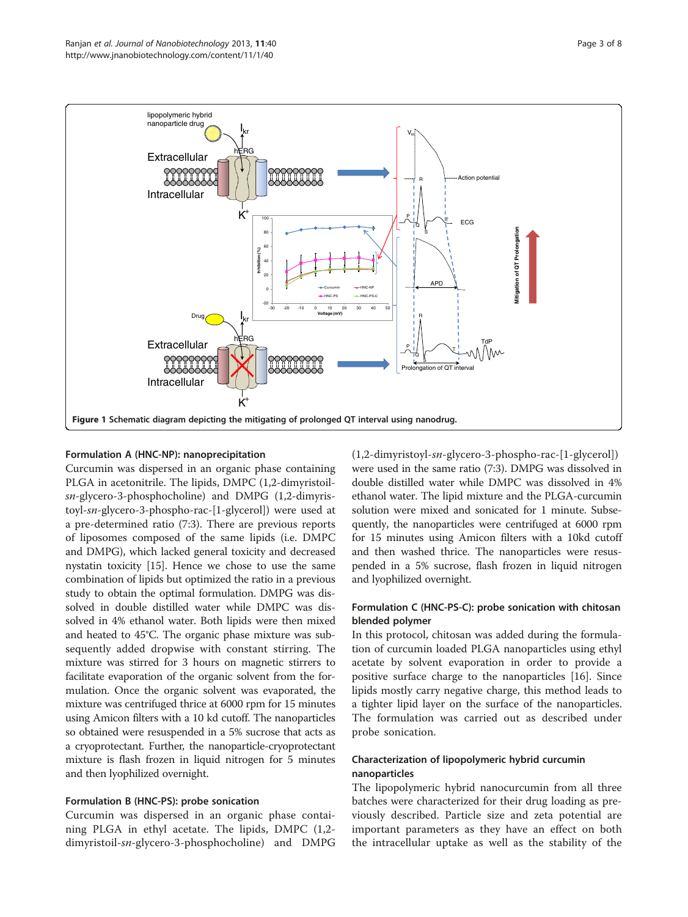<span id="page-2-0"></span>

# Formulation A (HNC-NP): nanoprecipitation

Curcumin was dispersed in an organic phase containing PLGA in acetonitrile. The lipids, DMPC (1,2-dimyristoilsn-glycero-3-phosphocholine) and DMPG (1,2-dimyristoyl-sn-glycero-3-phospho-rac-[1-glycerol]) were used at a pre-determined ratio (7:3). There are previous reports of liposomes composed of the same lipids (i.e. DMPC and DMPG), which lacked general toxicity and decreased nystatin toxicity [\[15\]](#page-7-0). Hence we chose to use the same combination of lipids but optimized the ratio in a previous study to obtain the optimal formulation. DMPG was dissolved in double distilled water while DMPC was dissolved in 4% ethanol water. Both lipids were then mixed and heated to 45°C. The organic phase mixture was subsequently added dropwise with constant stirring. The mixture was stirred for 3 hours on magnetic stirrers to facilitate evaporation of the organic solvent from the formulation. Once the organic solvent was evaporated, the mixture was centrifuged thrice at 6000 rpm for 15 minutes using Amicon filters with a 10 kd cutoff. The nanoparticles so obtained were resuspended in a 5% sucrose that acts as a cryoprotectant. Further, the nanoparticle-cryoprotectant mixture is flash frozen in liquid nitrogen for 5 minutes and then lyophilized overnight.

# Formulation B (HNC-PS): probe sonication

Curcumin was dispersed in an organic phase containing PLGA in ethyl acetate. The lipids, DMPC (1,2 dimyristoil-sn-glycero-3-phosphocholine) and DMPG (1,2-dimyristoyl-sn-glycero-3-phospho-rac-[1-glycerol]) were used in the same ratio (7:3). DMPG was dissolved in double distilled water while DMPC was dissolved in 4% ethanol water. The lipid mixture and the PLGA-curcumin solution were mixed and sonicated for 1 minute. Subsequently, the nanoparticles were centrifuged at 6000 rpm for 15 minutes using Amicon filters with a 10kd cutoff and then washed thrice. The nanoparticles were resuspended in a 5% sucrose, flash frozen in liquid nitrogen and lyophilized overnight.

# Formulation C (HNC-PS-C): probe sonication with chitosan blended polymer

In this protocol, chitosan was added during the formulation of curcumin loaded PLGA nanoparticles using ethyl acetate by solvent evaporation in order to provide a positive surface charge to the nanoparticles [\[16](#page-7-0)]. Since lipids mostly carry negative charge, this method leads to a tighter lipid layer on the surface of the nanoparticles. The formulation was carried out as described under probe sonication.

# Characterization of lipopolymeric hybrid curcumin nanoparticles

The lipopolymeric hybrid nanocurcumin from all three batches were characterized for their drug loading as previously described. Particle size and zeta potential are important parameters as they have an effect on both the intracellular uptake as well as the stability of the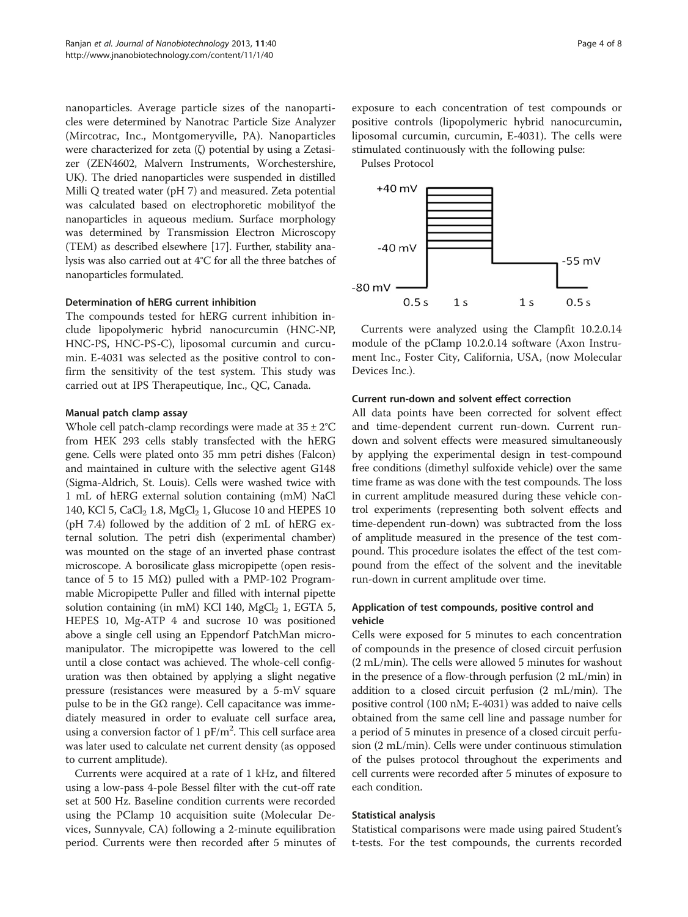nanoparticles. Average particle sizes of the nanoparticles were determined by Nanotrac Particle Size Analyzer (Mircotrac, Inc., Montgomeryville, PA). Nanoparticles were characterized for zeta (ζ) potential by using a Zetasizer (ZEN4602, Malvern Instruments, Worchestershire, UK). The dried nanoparticles were suspended in distilled Milli Q treated water (pH 7) and measured. Zeta potential was calculated based on electrophoretic mobilityof the nanoparticles in aqueous medium. Surface morphology was determined by Transmission Electron Microscopy (TEM) as described elsewhere [[17](#page-7-0)]. Further, stability analysis was also carried out at 4°C for all the three batches of nanoparticles formulated.

### Determination of hERG current inhibition

The compounds tested for hERG current inhibition include lipopolymeric hybrid nanocurcumin (HNC-NP, HNC-PS, HNC-PS-C), liposomal curcumin and curcumin. E-4031 was selected as the positive control to confirm the sensitivity of the test system. This study was carried out at IPS Therapeutique, Inc., QC, Canada.

#### Manual patch clamp assay

Whole cell patch-clamp recordings were made at  $35 \pm 2^{\circ}$ C from HEK 293 cells stably transfected with the hERG gene. Cells were plated onto 35 mm petri dishes (Falcon) and maintained in culture with the selective agent G148 (Sigma-Aldrich, St. Louis). Cells were washed twice with 1 mL of hERG external solution containing (mM) NaCl 140, KCl 5, CaCl<sub>2</sub> 1.8, MgCl<sub>2</sub> 1, Glucose 10 and HEPES 10 (pH 7.4) followed by the addition of 2 mL of hERG external solution. The petri dish (experimental chamber) was mounted on the stage of an inverted phase contrast microscope. A borosilicate glass micropipette (open resistance of 5 to 15 MΩ) pulled with a PMP-102 Programmable Micropipette Puller and filled with internal pipette solution containing (in mM) KCl 140, MgCl<sub>2</sub> 1, EGTA 5, HEPES 10, Mg-ATP 4 and sucrose 10 was positioned above a single cell using an Eppendorf PatchMan micromanipulator. The micropipette was lowered to the cell until a close contact was achieved. The whole-cell configuration was then obtained by applying a slight negative pressure (resistances were measured by a 5-mV square pulse to be in the  $G\Omega$  range). Cell capacitance was immediately measured in order to evaluate cell surface area, using a conversion factor of 1 pF/m<sup>2</sup>. This cell surface area was later used to calculate net current density (as opposed to current amplitude).

Currents were acquired at a rate of 1 kHz, and filtered using a low-pass 4-pole Bessel filter with the cut-off rate set at 500 Hz. Baseline condition currents were recorded using the PClamp 10 acquisition suite (Molecular Devices, Sunnyvale, CA) following a 2-minute equilibration period. Currents were then recorded after 5 minutes of

exposure to each concentration of test compounds or positive controls (lipopolymeric hybrid nanocurcumin, liposomal curcumin, curcumin, E-4031). The cells were stimulated continuously with the following pulse:

Pulses Protocol



Currents were analyzed using the Clampfit 10.2.0.14 module of the pClamp 10.2.0.14 software (Axon Instrument Inc., Foster City, California, USA, (now Molecular Devices Inc.).

### Current run-down and solvent effect correction

All data points have been corrected for solvent effect and time-dependent current run-down. Current rundown and solvent effects were measured simultaneously by applying the experimental design in test-compound free conditions (dimethyl sulfoxide vehicle) over the same time frame as was done with the test compounds. The loss in current amplitude measured during these vehicle control experiments (representing both solvent effects and time-dependent run-down) was subtracted from the loss of amplitude measured in the presence of the test compound. This procedure isolates the effect of the test compound from the effect of the solvent and the inevitable run-down in current amplitude over time.

# Application of test compounds, positive control and vehicle

Cells were exposed for 5 minutes to each concentration of compounds in the presence of closed circuit perfusion (2 mL/min). The cells were allowed 5 minutes for washout in the presence of a flow-through perfusion (2 mL/min) in addition to a closed circuit perfusion (2 mL/min). The positive control (100 nM; E-4031) was added to naive cells obtained from the same cell line and passage number for a period of 5 minutes in presence of a closed circuit perfusion (2 mL/min). Cells were under continuous stimulation of the pulses protocol throughout the experiments and cell currents were recorded after 5 minutes of exposure to each condition.

### Statistical analysis

Statistical comparisons were made using paired Student's t-tests. For the test compounds, the currents recorded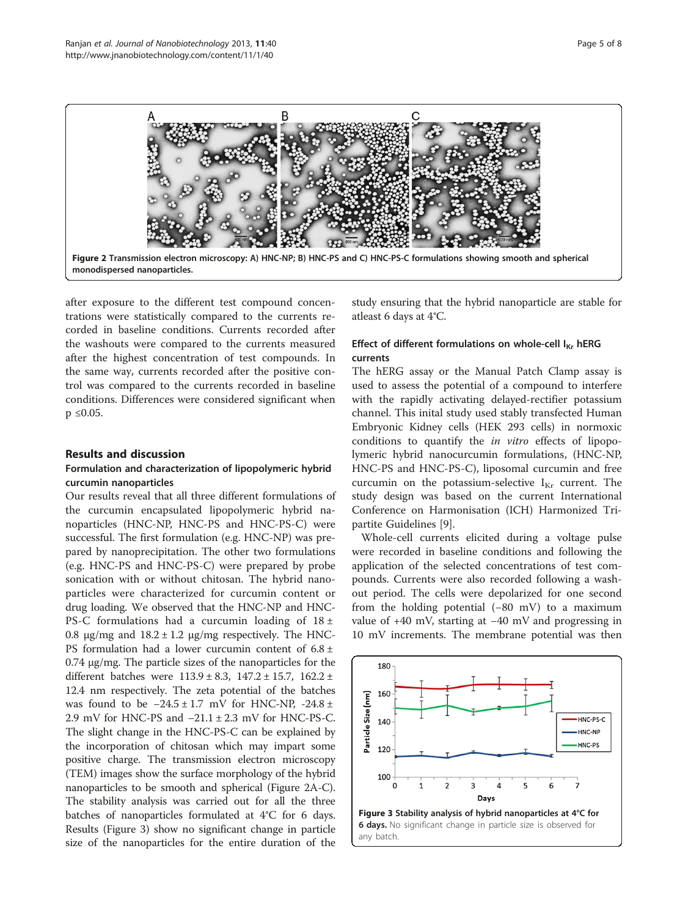

after exposure to the different test compound concentrations were statistically compared to the currents recorded in baseline conditions. Currents recorded after the washouts were compared to the currents measured after the highest concentration of test compounds. In the same way, currents recorded after the positive control was compared to the currents recorded in baseline conditions. Differences were considered significant when  $p \leq 0.05$ .

# Results and discussion

# Formulation and characterization of lipopolymeric hybrid curcumin nanoparticles

Our results reveal that all three different formulations of the curcumin encapsulated lipopolymeric hybrid nanoparticles (HNC-NP, HNC-PS and HNC-PS-C) were successful. The first formulation (e.g. HNC-NP) was prepared by nanoprecipitation. The other two formulations (e.g. HNC-PS and HNC-PS-C) were prepared by probe sonication with or without chitosan. The hybrid nanoparticles were characterized for curcumin content or drug loading. We observed that the HNC-NP and HNC-PS-C formulations had a curcumin loading of  $18 \pm$ 0.8 μg/mg and  $18.2 \pm 1.2$  μg/mg respectively. The HNC-PS formulation had a lower curcumin content of  $6.8 \pm$ 0.74 μg/mg. The particle sizes of the nanoparticles for the different batches were  $113.9 \pm 8.3$ ,  $147.2 \pm 15.7$ ,  $162.2 \pm 1.5$ 12.4 nm respectively. The zeta potential of the batches was found to be  $-24.5 \pm 1.7$  mV for HNC-NP,  $-24.8 \pm$ 2.9 mV for HNC-PS and −21.1 ± 2.3 mV for HNC-PS-C. The slight change in the HNC-PS-C can be explained by the incorporation of chitosan which may impart some positive charge. The transmission electron microscopy (TEM) images show the surface morphology of the hybrid nanoparticles to be smooth and spherical (Figure 2A-C). The stability analysis was carried out for all the three batches of nanoparticles formulated at 4°C for 6 days. Results (Figure 3) show no significant change in particle size of the nanoparticles for the entire duration of the

study ensuring that the hybrid nanoparticle are stable for atleast 6 days at 4°C.

# Effect of different formulations on whole-cell  $I_{Kr}$  hERG currents

The hERG assay or the Manual Patch Clamp assay is used to assess the potential of a compound to interfere with the rapidly activating delayed-rectifier potassium channel. This inital study used stably transfected Human Embryonic Kidney cells (HEK 293 cells) in normoxic conditions to quantify the in vitro effects of lipopolymeric hybrid nanocurcumin formulations, (HNC-NP, HNC-PS and HNC-PS-C), liposomal curcumin and free curcumin on the potassium-selective  $I_{Kr}$  current. The study design was based on the current International Conference on Harmonisation (ICH) Harmonized Tripartite Guidelines [[9\]](#page-7-0).

Whole-cell currents elicited during a voltage pulse were recorded in baseline conditions and following the application of the selected concentrations of test compounds. Currents were also recorded following a washout period. The cells were depolarized for one second from the holding potential (−80 mV) to a maximum value of +40 mV, starting at −40 mV and progressing in 10 mV increments. The membrane potential was then

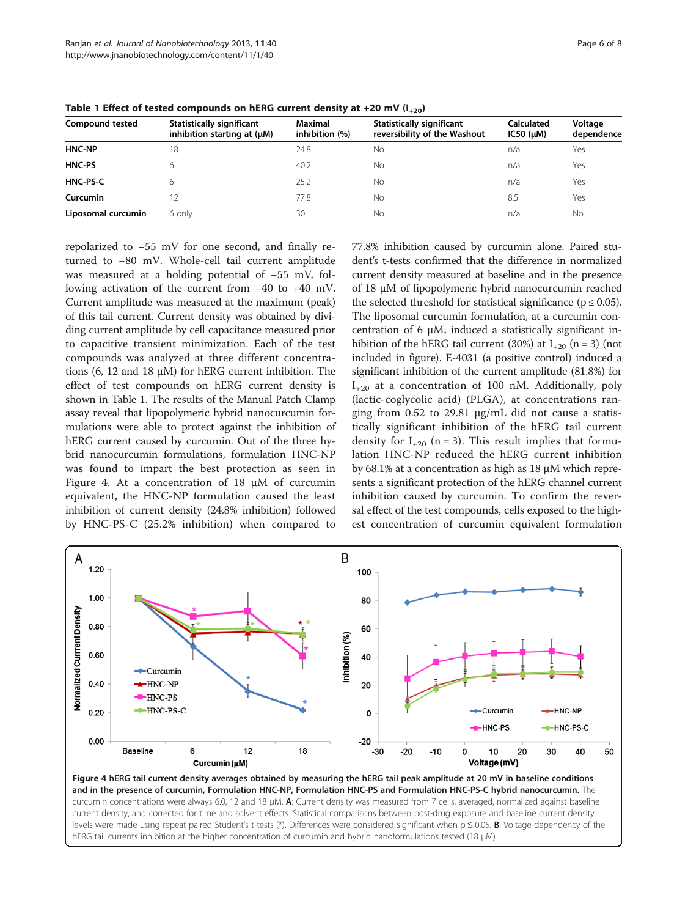| <b>Compound tested</b> | Statistically significant<br>inhibition starting at $(\mu M)$ | Maximal<br>inhibition (%) | <b>Statistically significant</b><br>reversibility of the Washout | <b>Calculated</b><br>IC50 (µM) | Voltage<br>dependence |
|------------------------|---------------------------------------------------------------|---------------------------|------------------------------------------------------------------|--------------------------------|-----------------------|
| <b>HNC-NP</b>          | 18                                                            | 24.8                      | Νo                                                               | n/a                            | Yes                   |
| <b>HNC-PS</b>          | 6                                                             | 40.2                      | <b>No</b>                                                        | n/a                            | Yes                   |
| HNC-PS-C               | 6                                                             | 25.2                      | Nο                                                               | n/a                            | Yes                   |
| Curcumin               |                                                               | 77.8                      | No                                                               | 8.5                            | Yes                   |
| Liposomal curcumin     | 6 only                                                        | 30                        | No                                                               | n/a                            | No                    |

<span id="page-5-0"></span>Table 1 Effect of tested compounds on hERG current density at +20 mV  $(I_{+20})$ 

repolarized to −55 mV for one second, and finally returned to −80 mV. Whole-cell tail current amplitude was measured at a holding potential of −55 mV, following activation of the current from −40 to +40 mV. Current amplitude was measured at the maximum (peak) of this tail current. Current density was obtained by dividing current amplitude by cell capacitance measured prior to capacitive transient minimization. Each of the test compounds was analyzed at three different concentrations (6, 12 and 18  $\mu$ M) for hERG current inhibition. The effect of test compounds on hERG current density is shown in Table 1. The results of the Manual Patch Clamp assay reveal that lipopolymeric hybrid nanocurcumin formulations were able to protect against the inhibition of hERG current caused by curcumin. Out of the three hybrid nanocurcumin formulations, formulation HNC-NP was found to impart the best protection as seen in Figure 4. At a concentration of 18 μM of curcumin equivalent, the HNC-NP formulation caused the least inhibition of current density (24.8% inhibition) followed by HNC-PS-C (25.2% inhibition) when compared to

77.8% inhibition caused by curcumin alone. Paired student's t-tests confirmed that the difference in normalized current density measured at baseline and in the presence of 18 μM of lipopolymeric hybrid nanocurcumin reached the selected threshold for statistical significance ( $p \le 0.05$ ). The liposomal curcumin formulation, at a curcumin concentration of 6 μM, induced a statistically significant inhibition of the hERG tail current (30%) at  $I_{+20}$  (n = 3) (not included in figure). E-4031 (a positive control) induced a significant inhibition of the current amplitude (81.8%) for  $I_{+20}$  at a concentration of 100 nM. Additionally, poly (lactic-coglycolic acid) (PLGA), at concentrations ranging from 0.52 to 29.81 μg/mL did not cause a statistically significant inhibition of the hERG tail current density for  $I_{+20}$  (n = 3). This result implies that formulation HNC-NP reduced the hERG current inhibition by 68.1% at a concentration as high as 18 μM which represents a significant protection of the hERG channel current inhibition caused by curcumin. To confirm the reversal effect of the test compounds, cells exposed to the highest concentration of curcumin equivalent formulation



Figure 4 hERG tail current density averages obtained by measuring the hERG tail peak amplitude at 20 mV in baseline conditions and in the presence of curcumin, Formulation HNC-NP, Formulation HNC-PS and Formulation HNC-PS-C hybrid nanocurcumin. The curcumin concentrations were always 6.0, 12 and 18 μM. A: Current density was measured from 7 cells, averaged, normalized against baseline current density, and corrected for time and solvent effects. Statistical comparisons between post-drug exposure and baseline current density levels were made using repeat paired Student's t-tests (\*). Differences were considered significant when p ≤ 0.05. B: Voltage dependency of the hERG tail currents inhibition at the higher concentration of curcumin and hybrid nanoformulations tested (18 μM).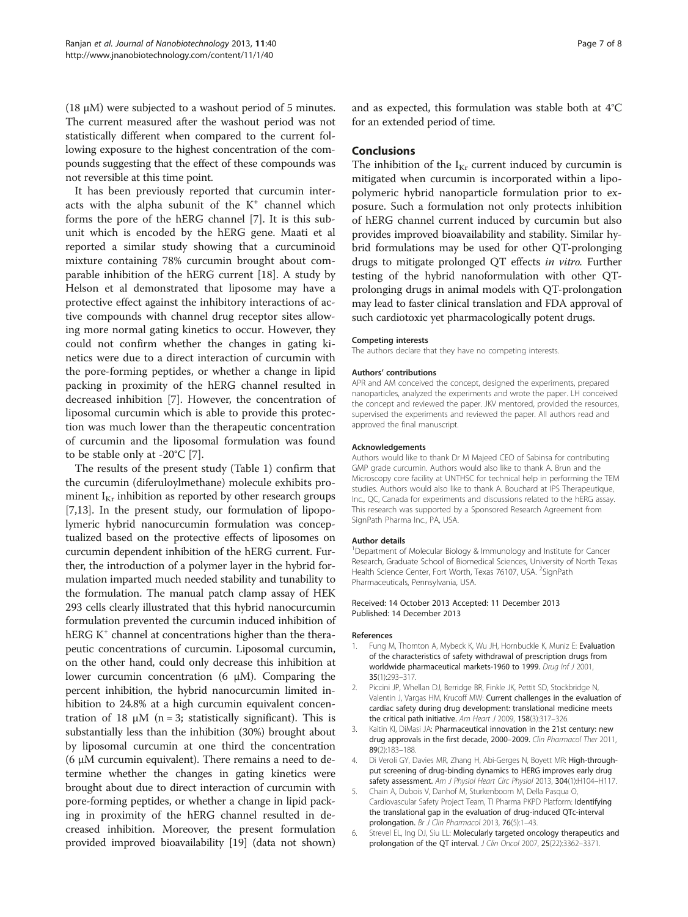<span id="page-6-0"></span>(18  $\mu$ M) were subjected to a washout period of 5 minutes. The current measured after the washout period was not statistically different when compared to the current following exposure to the highest concentration of the compounds suggesting that the effect of these compounds was not reversible at this time point.

It has been previously reported that curcumin interacts with the alpha subunit of the  $K^+$  channel which forms the pore of the hERG channel [\[7](#page-7-0)]. It is this subunit which is encoded by the hERG gene. Maati et al reported a similar study showing that a curcuminoid mixture containing 78% curcumin brought about comparable inhibition of the hERG current [\[18\]](#page-7-0). A study by Helson et al demonstrated that liposome may have a protective effect against the inhibitory interactions of active compounds with channel drug receptor sites allowing more normal gating kinetics to occur. However, they could not confirm whether the changes in gating kinetics were due to a direct interaction of curcumin with the pore-forming peptides, or whether a change in lipid packing in proximity of the hERG channel resulted in decreased inhibition [\[7\]](#page-7-0). However, the concentration of liposomal curcumin which is able to provide this protection was much lower than the therapeutic concentration of curcumin and the liposomal formulation was found to be stable only at -20°C [\[7](#page-7-0)].

The results of the present study (Table [1\)](#page-5-0) confirm that the curcumin (diferuloylmethane) molecule exhibits prominent  $I_{Kr}$  inhibition as reported by other research groups [[7,13](#page-7-0)]. In the present study, our formulation of lipopolymeric hybrid nanocurcumin formulation was conceptualized based on the protective effects of liposomes on curcumin dependent inhibition of the hERG current. Further, the introduction of a polymer layer in the hybrid formulation imparted much needed stability and tunability to the formulation. The manual patch clamp assay of HEK 293 cells clearly illustrated that this hybrid nanocurcumin formulation prevented the curcumin induced inhibition of hERG  $K^+$  channel at concentrations higher than the therapeutic concentrations of curcumin. Liposomal curcumin, on the other hand, could only decrease this inhibition at lower curcumin concentration (6 μM). Comparing the percent inhibition, the hybrid nanocurcumin limited inhibition to 24.8% at a high curcumin equivalent concentration of 18 μM (n = 3; statistically significant). This is substantially less than the inhibition (30%) brought about by liposomal curcumin at one third the concentration (6 μM curcumin equivalent). There remains a need to determine whether the changes in gating kinetics were brought about due to direct interaction of curcumin with pore-forming peptides, or whether a change in lipid packing in proximity of the hERG channel resulted in decreased inhibition. Moreover, the present formulation provided improved bioavailability [\[19](#page-7-0)] (data not shown) and as expected, this formulation was stable both at 4°C for an extended period of time.

# Conclusions

The inhibition of the  $I_{Kr}$  current induced by curcumin is mitigated when curcumin is incorporated within a lipopolymeric hybrid nanoparticle formulation prior to exposure. Such a formulation not only protects inhibition of hERG channel current induced by curcumin but also provides improved bioavailability and stability. Similar hybrid formulations may be used for other QT-prolonging drugs to mitigate prolonged QT effects in vitro. Further testing of the hybrid nanoformulation with other QTprolonging drugs in animal models with QT-prolongation may lead to faster clinical translation and FDA approval of such cardiotoxic yet pharmacologically potent drugs.

#### Competing interests

The authors declare that they have no competing interests.

#### Authors' contributions

APR and AM conceived the concept, designed the experiments, prepared nanoparticles, analyzed the experiments and wrote the paper. LH conceived the concept and reviewed the paper. JKV mentored, provided the resources, supervised the experiments and reviewed the paper. All authors read and approved the final manuscript.

#### Acknowledgements

Authors would like to thank Dr M Majeed CEO of Sabinsa for contributing GMP grade curcumin. Authors would also like to thank A. Brun and the Microscopy core facility at UNTHSC for technical help in performing the TEM studies. Authors would also like to thank A. Bouchard at IPS Therapeutique, Inc., QC, Canada for experiments and discussions related to the hERG assay. This research was supported by a Sponsored Research Agreement from SignPath Pharma Inc., PA, USA.

#### Author details

<sup>1</sup>Department of Molecular Biology & Immunology and Institute for Cancer Research, Graduate School of Biomedical Sciences, University of North Texas Health Science Center, Fort Worth, Texas 76107, USA. <sup>2</sup>SignPath Pharmaceuticals, Pennsylvania, USA.

#### Received: 14 October 2013 Accepted: 11 December 2013 Published: 14 December 2013

#### References

- Fung M, Thornton A, Mybeck K, Wu JH, Hornbuckle K, Muniz E: Evaluation of the characteristics of safety withdrawal of prescription drugs from worldwide pharmaceutical markets-1960 to 1999. Drug Inf J 2001, 35(1):293–317.
- 2. Piccini JP, Whellan DJ, Berridge BR, Finkle JK, Pettit SD, Stockbridge N, Valentin J, Vargas HM, Krucoff MW: Current challenges in the evaluation of cardiac safety during drug development: translational medicine meets the critical path initiative. Am Heart J 2009, 158(3):317-326.
- 3. Kaitin KI, DiMasi JA: Pharmaceutical innovation in the 21st century: new drug approvals in the first decade, 2000-2009. Clin Pharmacol Ther 2011, 89(2):183–188.
- Di Veroli GY, Davies MR, Zhang H, Abi-Gerges N, Boyett MR: High-throughput screening of drug-binding dynamics to HERG improves early drug safety assessment. Am J Physiol Heart Circ Physiol 2013, 304(1):H104-H117.
- 5. Chain A, Dubois V, Danhof M, Sturkenboom M, Della Pasqua O, Cardiovascular Safety Project Team, TI Pharma PKPD Platform: Identifying the translational gap in the evaluation of drug-induced QTc-interval prolongation. Br J Clin Pharmacol 2013, 76(5):1–43.
- 6. Strevel EL, Ing DJ, Siu LL: Molecularly targeted oncology therapeutics and prolongation of the QT interval. J Clin Oncol 2007, 25(22):3362-3371.